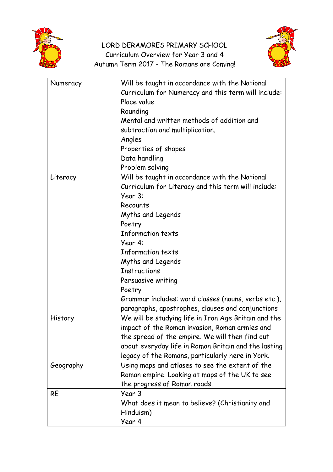

## LORD DERAMORES PRIMARY SCHOOL Curriculum Overview for Year 3 and 4 Autumn Term 2017 - The Romans are Coming!



| Numeracy  | Will be taught in accordance with the National                 |
|-----------|----------------------------------------------------------------|
|           | Curriculum for Numeracy and this term will include:            |
|           | Place value                                                    |
|           | Rounding                                                       |
|           | Mental and written methods of addition and                     |
|           | subtraction and multiplication.                                |
|           | Angles                                                         |
|           | Properties of shapes                                           |
|           | Data handling                                                  |
|           | Problem solving                                                |
|           | Will be taught in accordance with the National                 |
| Literacy  |                                                                |
|           | Curriculum for Literacy and this term will include:<br>Year 3: |
|           |                                                                |
|           | Recounts                                                       |
|           | Myths and Legends                                              |
|           | Poetry                                                         |
|           | <b>Information texts</b>                                       |
|           | Year 4:                                                        |
|           | <b>Information texts</b>                                       |
|           | Myths and Legends                                              |
|           | <b>Instructions</b>                                            |
|           | Persuasive writing                                             |
|           | Poetry                                                         |
|           | Grammar includes: word classes (nouns, verbs etc.),            |
|           | paragraphs, apostrophes, clauses and conjunctions              |
| History   | We will be studying life in Iron Age Britain and the           |
|           | impact of the Roman invasion, Roman armies and                 |
|           | the spread of the empire. We will then find out                |
|           | about everyday life in Roman Britain and the lasting           |
|           | legacy of the Romans, particularly here in York.               |
| Geography | Using maps and atlases to see the extent of the                |
|           | Roman empire. Looking at maps of the UK to see                 |
|           | the progress of Roman roads.                                   |
| <b>RE</b> | Year 3                                                         |
|           | What does it mean to believe? (Christianity and                |
|           | Hinduism)                                                      |
|           | Year 4                                                         |